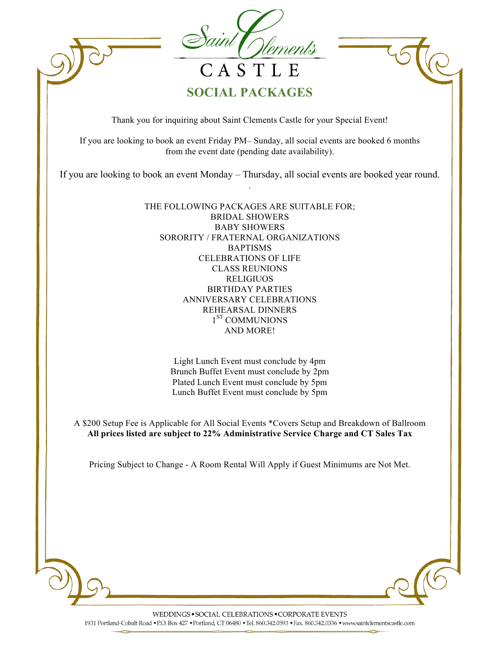

WEDDINGS . SOCIAL CELEBRATIONS . CORPORATE EVENTS 1931 Portland-Cobalt Road · P.O. Box 427 · Portland, CT 06480 · Tel. 860.342.0593 · Fax. 860.342.0336 · www.saintclementscastle.com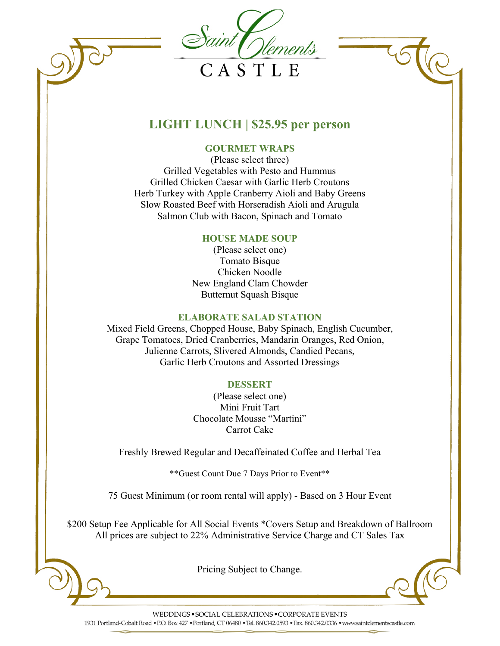

# **LIGHT LUNCH | \$25.95 per person**

# **GOURMET WRAPS**

(Please select three) Grilled Vegetables with Pesto and Hummus Grilled Chicken Caesar with Garlic Herb Croutons Herb Turkey with Apple Cranberry Aioli and Baby Greens Slow Roasted Beef with Horseradish Aioli and Arugula Salmon Club with Bacon, Spinach and Tomato

### **HOUSE MADE SOUP**

(Please select one) Tomato Bisque Chicken Noodle New England Clam Chowder Butternut Squash Bisque

### **ELABORATE SALAD STATION**

Mixed Field Greens, Chopped House, Baby Spinach, English Cucumber, Grape Tomatoes, Dried Cranberries, Mandarin Oranges, Red Onion, Julienne Carrots, Slivered Almonds, Candied Pecans, Garlic Herb Croutons and Assorted Dressings

# **DESSERT**

(Please select one) Mini Fruit Tart Chocolate Mousse "Martini" Carrot Cake

Freshly Brewed Regular and Decaffeinated Coffee and Herbal Tea

\*\*Guest Count Due 7 Days Prior to Event\*\*

75 Guest Minimum (or room rental will apply) - Based on 3 Hour Event

\$200 Setup Fee Applicable for All Social Events \*Covers Setup and Breakdown of Ballroom All prices are subject to 22% Administrative Service Charge and CT Sales Tax

Pricing Subject to Change.

WEDDINGS . SOCIAL CELEBRATIONS . CORPORATE EVENTS 1931 Portland-Cobalt Road • P.O. Box 427 • Portland, CT 06480 • Tel. 860.342.0593 • Fax. 860.342.0336 • www.saintclementscastle.com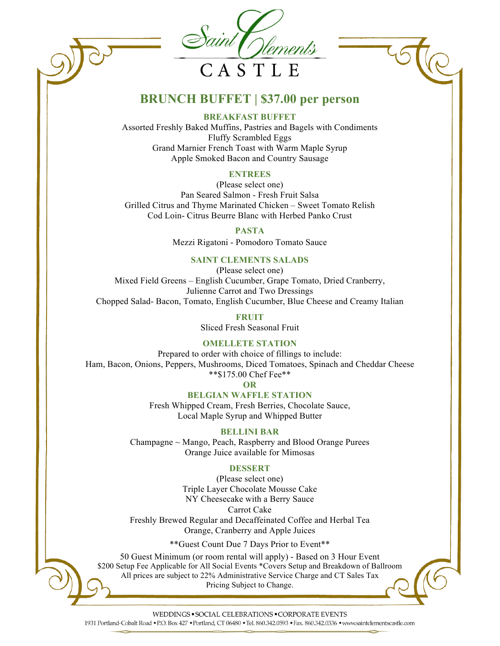

 $\overline{a}$ 



# **BRUNCH BUFFET | \$37.00 per person**

# **BREAKFAST BUFFET**

Assorted Freshly Baked Muffins, Pastries and Bagels with Condiments Fluffy Scrambled Eggs Grand Marnier French Toast with Warm Maple Syrup Apple Smoked Bacon and Country Sausage

# **ENTREES**

(Please select one) Pan Seared Salmon - Fresh Fruit Salsa Grilled Citrus and Thyme Marinated Chicken – Sweet Tomato Relish Cod Loin- Citrus Beurre Blanc with Herbed Panko Crust

**PASTA**

Mezzi Rigatoni - Pomodoro Tomato Sauce

## **SAINT CLEMENTS SALADS**

(Please select one) Mixed Field Greens – English Cucumber, Grape Tomato, Dried Cranberry, Julienne Carrot and Two Dressings Chopped Salad- Bacon, Tomato, English Cucumber, Blue Cheese and Creamy Italian

**FRUIT** 

Sliced Fresh Seasonal Fruit

# **OMELLETE STATION**

Prepared to order with choice of fillings to include: Ham, Bacon, Onions, Peppers, Mushrooms, Diced Tomatoes, Spinach and Cheddar Cheese \*\*\$175.00 Chef Fee\*\*

**OR**

#### **BELGIAN WAFFLE STATION**

Fresh Whipped Cream, Fresh Berries, Chocolate Sauce, Local Maple Syrup and Whipped Butter

#### **BELLINI BAR**

Champagne ~ Mango, Peach, Raspberry and Blood Orange Purees Orange Juice available for Mimosas

#### **DESSERT**

(Please select one) Triple Layer Chocolate Mousse Cake NY Cheesecake with a Berry Sauce Carrot Cake Freshly Brewed Regular and Decaffeinated Coffee and Herbal Tea Orange, Cranberry and Apple Juices

\*\*Guest Count Due 7 Days Prior to Event\*\*

50 Guest Minimum (or room rental will apply) - Based on 3 Hour Event \$200 Setup Fee Applicable for All Social Events \*Covers Setup and Breakdown of Ballroom All prices are subject to 22% Administrative Service Charge and CT Sales Tax Pricing Subject to Change.

WEDDINGS . SOCIAL CELEBRATIONS . CORPORATE EVENTS

1931 Portland-Cobalt Road • P.O. Box 427 • Portland, CT 06480 • Tel. 860.342.0593 • Fax. 860.342.0336 • www.saintclementscastle.com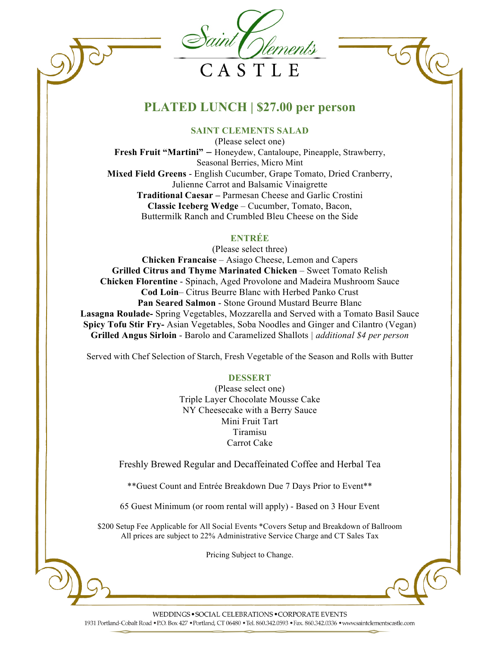



**SAINT CLEMENTS SALAD**

(Please select one) **Fresh Fruit "Martini" –** Honeydew, Cantaloupe, Pineapple, Strawberry, Seasonal Berries, Micro Mint **Mixed Field Greens** - English Cucumber, Grape Tomato, Dried Cranberry, Julienne Carrot and Balsamic Vinaigrette **Traditional Caesar –** Parmesan Cheese and Garlic Crostini **Classic Iceberg Wedge** – Cucumber, Tomato, Bacon, Buttermilk Ranch and Crumbled Bleu Cheese on the Side

### **ENTRÉE**

(Please select three) **Chicken Francaise** – Asiago Cheese, Lemon and Capers **Grilled Citrus and Thyme Marinated Chicken** – Sweet Tomato Relish **Chicken Florentine** - Spinach, Aged Provolone and Madeira Mushroom Sauce **Cod Loin**– Citrus Beurre Blanc with Herbed Panko Crust **Pan Seared Salmon** - Stone Ground Mustard Beurre Blanc **Lasagna Roulade-** Spring Vegetables, Mozzarella and Served with a Tomato Basil Sauce **Spicy Tofu Stir Fry-** Asian Vegetables, Soba Noodles and Ginger and Cilantro (Vegan) **Grilled Angus Sirloin** - Barolo and Caramelized Shallots *| additional \$4 per person*

Served with Chef Selection of Starch, Fresh Vegetable of the Season and Rolls with Butter

#### **DESSERT**

(Please select one) Triple Layer Chocolate Mousse Cake NY Cheesecake with a Berry Sauce Mini Fruit Tart Tiramisu Carrot Cake

Freshly Brewed Regular and Decaffeinated Coffee and Herbal Tea

\*\*Guest Count and Entrée Breakdown Due 7 Days Prior to Event\*\*

65 Guest Minimum (or room rental will apply) - Based on 3 Hour Event

\$200 Setup Fee Applicable for All Social Events \*Covers Setup and Breakdown of Ballroom All prices are subject to 22% Administrative Service Charge and CT Sales Tax

Pricing Subject to Change.

WEDDINGS . SOCIAL CELEBRATIONS . CORPORATE EVENTS 1931 Portland-Cobalt Road • P.O. Box 427 • Portland, CT 06480 • Tel. 860.342.0593 • Fax. 860.342.0336 • www.saintclementscastle.com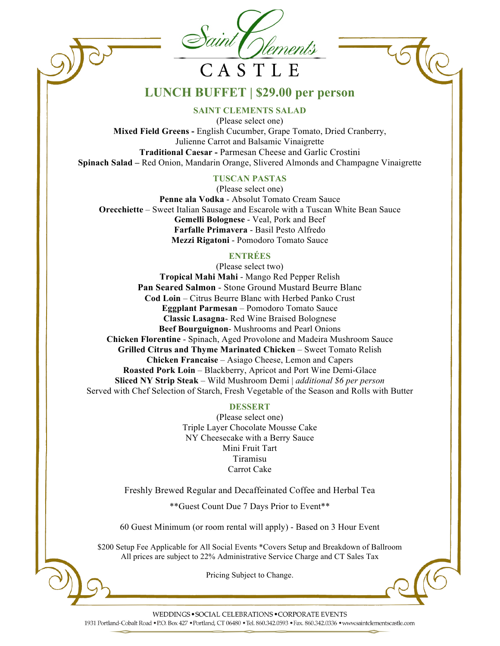CASTLE



# **LUNCH BUFFET | \$29.00 per person**

## **SAINT CLEMENTS SALAD**

(Please select one) **Mixed Field Greens -** English Cucumber, Grape Tomato, Dried Cranberry, Julienne Carrot and Balsamic Vinaigrette **Traditional Caesar -** Parmesan Cheese and Garlic Crostini **Spinach Salad –** Red Onion, Mandarin Orange, Slivered Almonds and Champagne Vinaigrette

### **TUSCAN PASTAS**

(Please select one) **Penne ala Vodka** - Absolut Tomato Cream Sauce **Orecchiette** – Sweet Italian Sausage and Escarole with a Tuscan White Bean Sauce **Gemelli Bolognese** - Veal, Pork and Beef **Farfalle Primavera** - Basil Pesto Alfredo **Mezzi Rigatoni** - Pomodoro Tomato Sauce

# **ENTRÉES**

(Please select two) **Tropical Mahi Mahi** - Mango Red Pepper Relish **Pan Seared Salmon** - Stone Ground Mustard Beurre Blanc **Cod Loin** – Citrus Beurre Blanc with Herbed Panko Crust **Eggplant Parmesan** – Pomodoro Tomato Sauce **Classic Lasagna**- Red Wine Braised Bolognese **Beef Bourguignon**- Mushrooms and Pearl Onions **Chicken Florentine** - Spinach, Aged Provolone and Madeira Mushroom Sauce **Grilled Citrus and Thyme Marinated Chicken** – Sweet Tomato Relish **Chicken Francaise** – Asiago Cheese, Lemon and Capers **Roasted Pork Loin** – Blackberry, Apricot and Port Wine Demi-Glace **Sliced NY Strip Steak** – Wild Mushroom Demi | *additional \$6 per person* Served with Chef Selection of Starch, Fresh Vegetable of the Season and Rolls with Butter

# **DESSERT**

(Please select one) Triple Layer Chocolate Mousse Cake NY Cheesecake with a Berry Sauce Mini Fruit Tart Tiramisu Carrot Cake

Freshly Brewed Regular and Decaffeinated Coffee and Herbal Tea

\*\*Guest Count Due 7 Days Prior to Event\*\*

60 Guest Minimum (or room rental will apply) - Based on 3 Hour Event

\$200 Setup Fee Applicable for All Social Events \*Covers Setup and Breakdown of Ballroom All prices are subject to 22% Administrative Service Charge and CT Sales Tax

Pricing Subject to Change.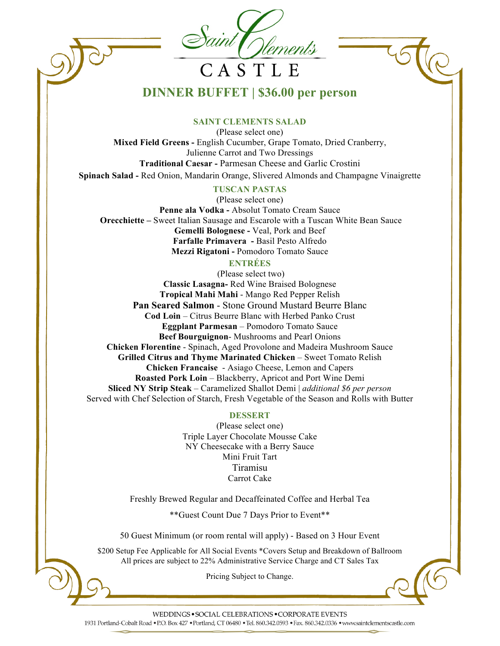<u>lements</u> CASTLE



# **DINNER BUFFET | \$36.00 per person**

**SAINT CLEMENTS SALAD** 

(Please select one) **Mixed Field Greens -** English Cucumber, Grape Tomato, Dried Cranberry, Julienne Carrot and Two Dressings **Traditional Caesar -** Parmesan Cheese and Garlic Crostini **Spinach Salad -** Red Onion, Mandarin Orange, Slivered Almonds and Champagne Vinaigrette

# **TUSCAN PASTAS**

(Please select one) **Penne ala Vodka -** Absolut Tomato Cream Sauce **Orecchiette –** Sweet Italian Sausage and Escarole with a Tuscan White Bean Sauce **Gemelli Bolognese -** Veal, Pork and Beef **Farfalle Primavera -** Basil Pesto Alfredo **Mezzi Rigatoni -** Pomodoro Tomato Sauce

#### **ENTRÉES**

(Please select two) **Classic Lasagna-** Red Wine Braised Bolognese **Tropical Mahi Mahi** - Mango Red Pepper Relish **Pan Seared Salmon** - Stone Ground Mustard Beurre Blanc **Cod Loin** – Citrus Beurre Blanc with Herbed Panko Crust **Eggplant Parmesan** – Pomodoro Tomato Sauce **Beef Bourguignon**- Mushrooms and Pearl Onions **Chicken Florentine** - Spinach, Aged Provolone and Madeira Mushroom Sauce **Grilled Citrus and Thyme Marinated Chicken** – Sweet Tomato Relish **Chicken Francaise** - Asiago Cheese, Lemon and Capers **Roasted Pork Loin** – Blackberry, Apricot and Port Wine Demi **Sliced NY Strip Steak** – Caramelized Shallot Demi | *additional \$6 per person* Served with Chef Selection of Starch, Fresh Vegetable of the Season and Rolls with Butter

# **DESSERT**

(Please select one) Triple Layer Chocolate Mousse Cake NY Cheesecake with a Berry Sauce Mini Fruit Tart Tiramisu Carrot Cake

Freshly Brewed Regular and Decaffeinated Coffee and Herbal Tea

\*\*Guest Count Due 7 Days Prior to Event\*\*

50 Guest Minimum (or room rental will apply) - Based on 3 Hour Event

\$200 Setup Fee Applicable for All Social Events \*Covers Setup and Breakdown of Ballroom All prices are subject to 22% Administrative Service Charge and CT Sales Tax

Pricing Subject to Change.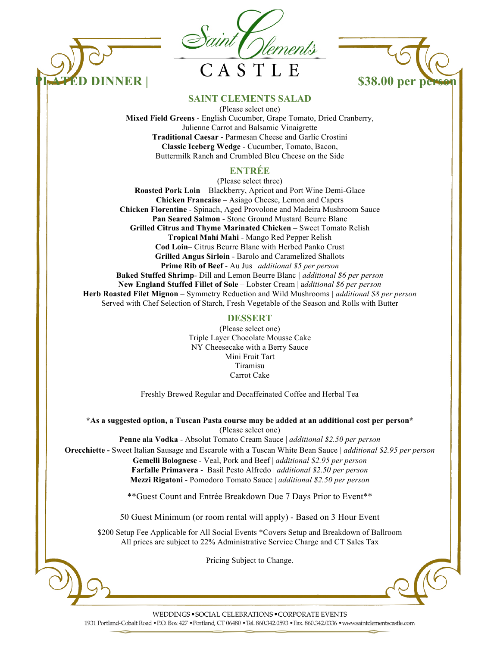

**PLATE BERRE PLATE E plant E plant \$38.00 per** 



#### **SAINT CLEMENTS SALAD**

(Please select one)

**Mixed Field Greens** - English Cucumber, Grape Tomato, Dried Cranberry, Julienne Carrot and Balsamic Vinaigrette **Traditional Caesar -** Parmesan Cheese and Garlic Crostini **Classic Iceberg Wedge** - Cucumber, Tomato, Bacon, Buttermilk Ranch and Crumbled Bleu Cheese on the Side

# **ENTRÉE**

(Please select three) **Roasted Pork Loin** – Blackberry, Apricot and Port Wine Demi-Glace **Chicken Francaise** – Asiago Cheese, Lemon and Capers **Chicken Florentine** - Spinach, Aged Provolone and Madeira Mushroom Sauce **Pan Seared Salmon** - Stone Ground Mustard Beurre Blanc

**Grilled Citrus and Thyme Marinated Chicken** – Sweet Tomato Relish **Tropical Mahi Mahi** - Mango Red Pepper Relish **Cod Loin**– Citrus Beurre Blanc with Herbed Panko Crust **Grilled Angus Sirloin** - Barolo and Caramelized Shallots **Prime Rib of Beef** - Au Jus | *additional \$5 per person*  **Baked Stuffed Shrimp**- Dill and Lemon Beurre Blanc *| additional \$6 per person* **New England Stuffed Fillet of Sole** – Lobster Cream | a*dditional \$6 per person*  **Herb Roasted Filet Mignon** – Symmetry Reduction and Wild Mushrooms *| additional \$8 per person* Served with Chef Selection of Starch, Fresh Vegetable of the Season and Rolls with Butter

#### **DESSERT**

(Please select one) Triple Layer Chocolate Mousse Cake NY Cheesecake with a Berry Sauce Mini Fruit Tart Tiramisu Carrot Cake

Freshly Brewed Regular and Decaffeinated Coffee and Herbal Tea

**\*As a suggested option, a Tuscan Pasta course may be added at an additional cost per person\*** (Please select one)

**Penne ala Vodka** - Absolut Tomato Cream Sauce | *additional \$2.50 per person* **Orecchiette -** Sweet Italian Sausage and Escarole with a Tuscan White Bean Sauce | *additional \$2.95 per person* **Gemelli Bolognese** - Veal, Pork and Beef | *additional \$2.95 per person* **Farfalle Primavera** - Basil Pesto Alfredo | *additional \$2.50 per person* **Mezzi Rigatoni** - Pomodoro Tomato Sauce | *additional \$2.50 per person* 

\*\*Guest Count and Entrée Breakdown Due 7 Days Prior to Event\*\*

50 Guest Minimum (or room rental will apply) - Based on 3 Hour Event

\$200 Setup Fee Applicable for All Social Events \*Covers Setup and Breakdown of Ballroom All prices are subject to 22% Administrative Service Charge and CT Sales Tax

Pricing Subject to Change.

WEDDINGS . SOCIAL CELEBRATIONS . CORPORATE EVENTS

1931 Portland-Cobalt Road · P.O. Box 427 · Portland, CT 06480 · Tel. 860.342.0593 · Fax. 860.342.0336 · www.saintclementscastle.com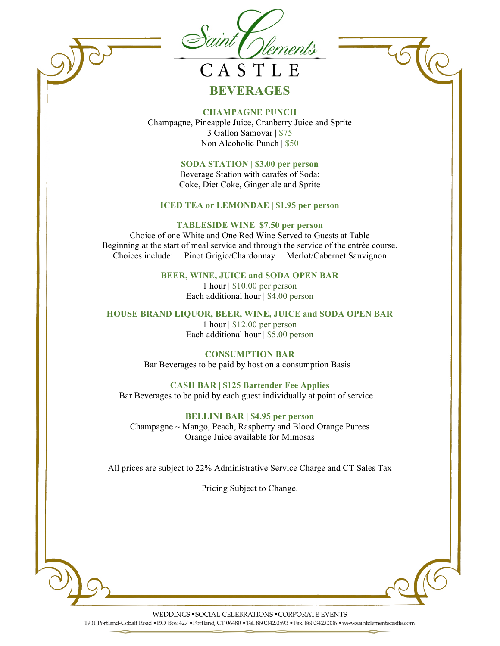



# **CHAMPAGNE PUNCH**

Champagne, Pineapple Juice, Cranberry Juice and Sprite 3 Gallon Samovar | \$75 Non Alcoholic Punch | \$50

## **SODA STATION | \$3.00 per person**

Beverage Station with carafes of Soda: Coke, Diet Coke, Ginger ale and Sprite

#### **ICED TEA or LEMONDAE | \$1.95 per person**

#### **TABLESIDE WINE| \$7.50 per person**

Choice of one White and One Red Wine Served to Guests at Table Beginning at the start of meal service and through the service of the entrée course. Choices include: Pinot Grigio/Chardonnay Merlot/Cabernet Sauvignon

#### **BEER, WINE, JUICE and SODA OPEN BAR**

1 hour | \$10.00 per person Each additional hour | \$4.00 person

#### **HOUSE BRAND LIQUOR, BEER, WINE, JUICE and SODA OPEN BAR**

1 hour | \$12.00 per person Each additional hour | \$5.00 person

#### **CONSUMPTION BAR**

Bar Beverages to be paid by host on a consumption Basis

#### **CASH BAR | \$125 Bartender Fee Applies**

Bar Beverages to be paid by each guest individually at point of service

#### **BELLINI BAR | \$4.95 per person**

Champagne ~ Mango, Peach, Raspberry and Blood Orange Purees Orange Juice available for Mimosas

All prices are subject to 22% Administrative Service Charge and CT Sales Tax

Pricing Subject to Change.

WEDDINGS . SOCIAL CELEBRATIONS . CORPORATE EVENTS 1931 Portland-Cobalt Road · P.O. Box 427 · Portland, CT 06480 · Tel. 860.342.0593 · Fax. 860.342.0336 · www.saintclementscastle.com